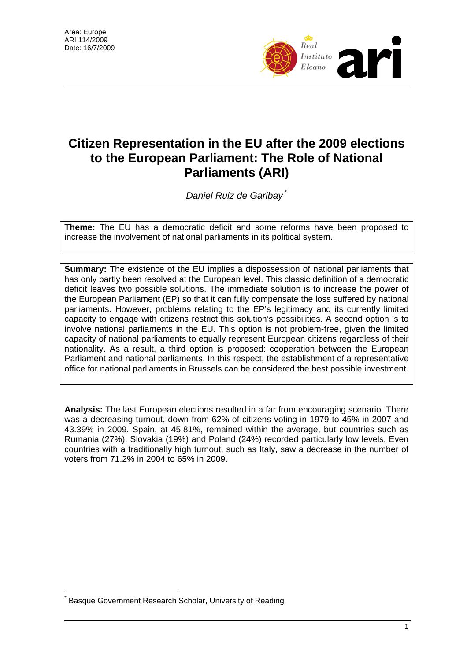

## **Citizen Representation in the EU after the 2009 elections to the European Parliament: The Role of National Parliaments (ARI)**

*Daniel Ruiz de Garibay* [\\*](#page-0-0)

**Theme:** The EU has a democratic deficit and some reforms have been proposed to increase the involvement of national parliaments in its political system.

**Summary:** The existence of the EU implies a dispossession of national parliaments that has only partly been resolved at the European level. This classic definition of a democratic deficit leaves two possible solutions. The immediate solution is to increase the power of the European Parliament (EP) so that it can fully compensate the loss suffered by national parliaments. However, problems relating to the EP's legitimacy and its currently limited capacity to engage with citizens restrict this solution's possibilities. A second option is to involve national parliaments in the EU. This option is not problem-free, given the limited capacity of national parliaments to equally represent European citizens regardless of their nationality. As a result, a third option is proposed: cooperation between the European Parliament and national parliaments. In this respect, the establishment of a representative office for national parliaments in Brussels can be considered the best possible investment.

**Analysis:** The last European elections resulted in a far from encouraging scenario. There was a decreasing turnout, down from 62% of citizens voting in 1979 to 45% in 2007 and 43.39% in 2009. Spain, at 45.81%, remained within the average, but countries such as Rumania (27%), Slovakia (19%) and Poland (24%) recorded particularly low levels. Even countries with a traditionally high turnout, such as Italy, saw a decrease in the number of voters from 71.2% in 2004 to 65% in 2009.

 $\overline{a}$ 

<span id="page-0-0"></span><sup>\*</sup> Basque Government Research Scholar, University of Reading.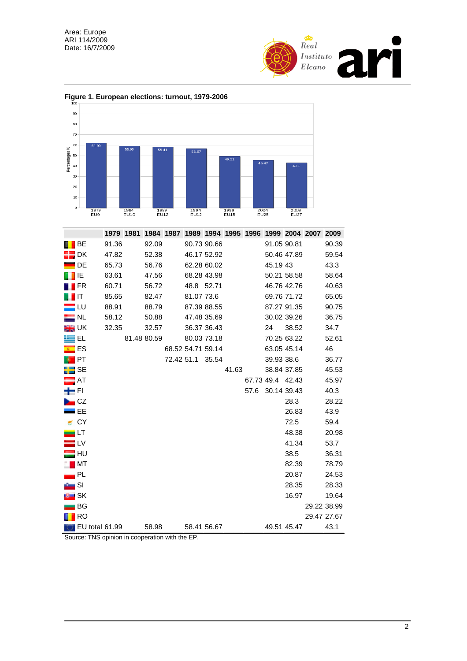



## **Figure 1. European elections: turnout, 1979-2006**

|                   |                               | 1979 1981 |             | 1984 1987 1989 1994 1995 1996 |            |                          |             |       |      | 1999 2004 2007 2009 |             |             |
|-------------------|-------------------------------|-----------|-------------|-------------------------------|------------|--------------------------|-------------|-------|------|---------------------|-------------|-------------|
|                   | BE                            | 91.36     |             | 92.09                         |            |                          | 90.73 90.66 |       |      | 91.05 90.81         |             | 90.39       |
|                   | - DK                          | 47.82     |             | 52.38                         |            |                          | 46.17 52.92 |       |      | 50.46 47.89         |             | 59.54       |
|                   | DE                            | 65.73     |             | 56.76                         |            |                          | 62.28 60.02 |       |      | 45.19 43            |             | 43.3        |
|                   | IE                            | 63.61     |             | 47.56                         |            |                          | 68.28 43.98 |       |      |                     | 50.21 58.58 | 58.64       |
|                   | FR                            | 60.71     |             | 56.72                         |            | 48.8 52.71               |             |       |      | 46.76 42.76         |             | 40.63       |
|                   | ∎ιτ                           | 85.65     |             | 82.47                         |            | 81.07 73.6               |             |       |      |                     | 69.76 71.72 | 65.05       |
|                   | <u>" LU</u>                   | 88.91     |             | 88.79                         |            |                          | 87.39 88.55 |       |      | 87.27 91.35         |             | 90.75       |
|                   | $\_$ NL                       | 58.12     |             | 50.88                         |            |                          | 47.48 35.69 |       |      |                     | 30.02 39.26 | 36.75       |
| <b>SH</b> UK      |                               | 32.35     |             | 32.57                         |            |                          | 36.37 36.43 |       |      | 24                  | 38.52       | 34.7        |
| ≝EL               |                               |           | 81.48 80.59 |                               |            |                          | 80.03 73.18 |       |      |                     | 70.25 63.22 | 52.61       |
| $\blacksquare$ ES |                               |           |             |                               |            | 68.52 54.71 59.14        |             |       |      | 63.05 45.14         |             | 46          |
|                   | $\blacksquare$                |           |             |                               | 72.42 51.1 |                          | 35.54       |       |      | 39.93 38.6          |             | 36.77       |
| <b>HE</b> SE      |                               |           |             |                               |            |                          |             | 41.63 |      | 38.84 37.85         |             | 45.53       |
| $\blacksquare$ AT |                               |           |             |                               |            |                          |             |       |      | 67.73 49.4 42.43    |             | 45.97       |
| ÷п                |                               |           |             |                               |            |                          |             |       | 57.6 | 30.14 39.43         |             | 40.3        |
|                   | $\overline{\phantom{a}}$ CZ   |           |             |                               |            |                          |             |       |      |                     | 28.3        | 28.22       |
|                   | I EE                          |           |             |                               |            |                          |             |       |      |                     | 26.83       | 43.9        |
|                   | CY                            |           |             |                               |            |                          |             |       |      |                     | 72.5        | 59.4        |
| ▄∟⊤               |                               |           |             |                               |            |                          |             |       |      |                     | 48.38       | 20.98       |
|                   | $\blacksquare$ LV             |           |             |                               |            |                          |             |       |      |                     | 41.34       | 53.7        |
|                   | : HU                          |           |             |                               |            |                          |             |       |      |                     | 38.5        | 36.31       |
|                   | $\blacksquare$ MT             |           |             |                               |            |                          |             |       |      |                     | 82.39       | 78.79       |
|                   | PL                            |           |             |                               |            |                          |             |       |      |                     | 20.87       | 24.53       |
|                   | SI                            |           |             |                               |            |                          |             |       |      |                     | 28.35       | 28.33       |
|                   | <b>SK</b>                     |           |             |                               |            |                          |             |       |      |                     | 16.97       | 19.64       |
|                   | BG                            |           |             |                               |            |                          |             |       |      |                     |             | 29.22 38.99 |
|                   | <b>RO</b>                     |           |             |                               |            |                          |             |       |      |                     |             | 29.47 27.67 |
|                   | EU total 61.99<br><b>TNIO</b> |           |             | 58.98                         |            | 58.41 56.67<br><b>rn</b> |             |       |      | 49.51 45.47         |             | 43.1        |

Source: TNS opinion in cooperation with the EP.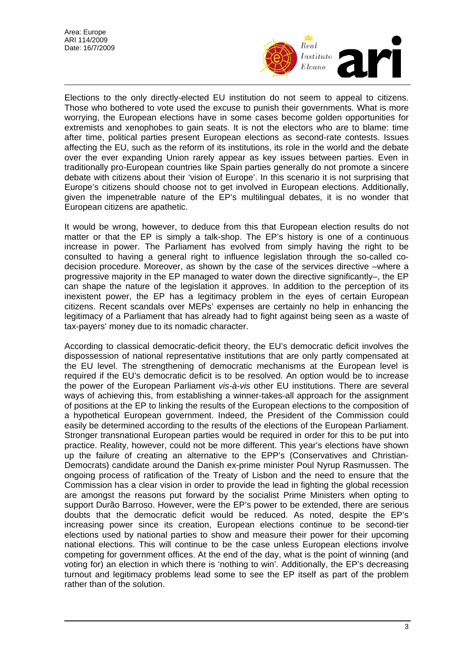

Elections to the only directly-elected EU institution do not seem to appeal to citizens. Those who bothered to vote used the excuse to punish their governments. What is more worrying, the European elections have in some cases become golden opportunities for extremists and xenophobes to gain seats. It is not the electors who are to blame: time after time, political parties present European elections as second-rate contests. Issues affecting the EU, such as the reform of its institutions, its role in the world and the debate over the ever expanding Union rarely appear as key issues between parties. Even in traditionally pro-European countries like Spain parties generally do not promote a sincere debate with citizens about their 'vision of Europe'. In this scenario it is not surprising that Europe's citizens should choose not to get involved in European elections. Additionally, given the impenetrable nature of the EP's multilingual debates, it is no wonder that European citizens are apathetic.

It would be wrong, however, to deduce from this that European election results do not matter or that the EP is simply a talk-shop. The EP's history is one of a continuous increase in power. The Parliament has evolved from simply having the right to be consulted to having a general right to influence legislation through the so-called codecision procedure. Moreover, as shown by the case of the services directive –where a progressive majority in the EP managed to water down the directive significantly–, the EP can shape the nature of the legislation it approves. In addition to the perception of its inexistent power, the EP has a legitimacy problem in the eyes of certain European citizens. Recent scandals over MEPs' expenses are certainly no help in enhancing the legitimacy of a Parliament that has already had to fight against being seen as a waste of tax-payers' money due to its nomadic character.

According to classical democratic-deficit theory, the EU's democratic deficit involves the dispossession of national representative institutions that are only partly compensated at the EU level. The strengthening of democratic mechanisms at the European level is required if the EU's democratic deficit is to be resolved. An option would be to increase the power of the European Parliament *vis-à-vis* other EU institutions. There are several ways of achieving this, from establishing a winner-takes-all approach for the assignment of positions at the EP to linking the results of the European elections to the composition of a hypothetical European government. Indeed, the President of the Commission could easily be determined according to the results of the elections of the European Parliament. Stronger transnational European parties would be required in order for this to be put into practice. Reality, however, could not be more different. This year's elections have shown up the failure of creating an alternative to the EPP's (Conservatives and Christian-Democrats) candidate around the Danish ex-prime minister Poul Nyrup Rasmussen. The ongoing process of ratification of the Treaty of Lisbon and the need to ensure that the Commission has a clear vision in order to provide the lead in fighting the global recession are amongst the reasons put forward by the socialist Prime Ministers when opting to support Durão Barroso. However, were the EP's power to be extended, there are serious doubts that the democratic deficit would be reduced. As noted, despite the EP's increasing power since its creation, European elections continue to be second-tier elections used by national parties to show and measure their power for their upcoming national elections. This will continue to be the case unless European elections involve competing for government offices. At the end of the day, what is the point of winning (and voting for) an election in which there is 'nothing to win'. Additionally, the EP's decreasing turnout and legitimacy problems lead some to see the EP itself as part of the problem rather than of the solution.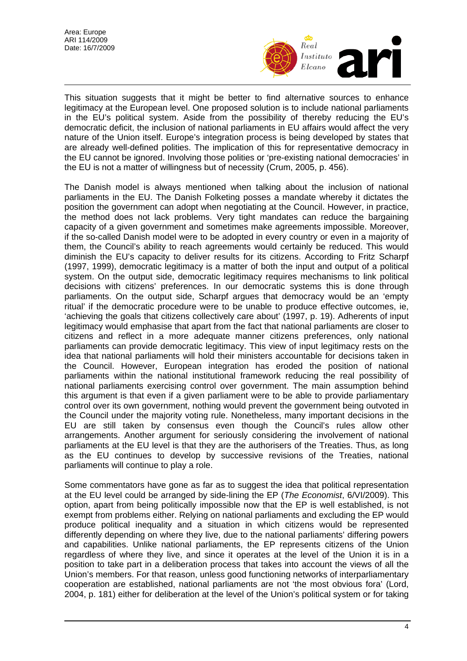

This situation suggests that it might be better to find alternative sources to enhance legitimacy at the European level. One proposed solution is to include national parliaments in the EU's political system. Aside from the possibility of thereby reducing the EU's democratic deficit, the inclusion of national parliaments in EU affairs would affect the very nature of the Union itself. Europe's integration process is being developed by states that are already well-defined polities. The implication of this for representative democracy in the EU cannot be ignored. Involving those polities or 'pre-existing national democracies' in the EU is not a matter of willingness but of necessity (Crum, 2005, p. 456).

The Danish model is always mentioned when talking about the inclusion of national parliaments in the EU. The Danish Folketing posses a mandate whereby it dictates the position the government can adopt when negotiating at the Council. However, in practice, the method does not lack problems. Very tight mandates can reduce the bargaining capacity of a given government and sometimes make agreements impossible. Moreover, if the so-called Danish model were to be adopted in every country or even in a majority of them, the Council's ability to reach agreements would certainly be reduced. This would diminish the EU's capacity to deliver results for its citizens. According to Fritz Scharpf (1997, 1999), democratic legitimacy is a matter of both the input and output of a political system. On the output side, democratic legitimacy requires mechanisms to link political decisions with citizens' preferences. In our democratic systems this is done through parliaments. On the output side, Scharpf argues that democracy would be an 'empty ritual' if the democratic procedure were to be unable to produce effective outcomes, ie, 'achieving the goals that citizens collectively care about' (1997, p. 19). Adherents of input legitimacy would emphasise that apart from the fact that national parliaments are closer to citizens and reflect in a more adequate manner citizens preferences, only national parliaments can provide democratic legitimacy. This view of input legitimacy rests on the idea that national parliaments will hold their ministers accountable for decisions taken in the Council. However, European integration has eroded the position of national parliaments within the national institutional framework reducing the real possibility of national parliaments exercising control over government. The main assumption behind this argument is that even if a given parliament were to be able to provide parliamentary control over its own government, nothing would prevent the government being outvoted in the Council under the majority voting rule. Nonetheless, many important decisions in the EU are still taken by consensus even though the Council's rules allow other arrangements. Another argument for seriously considering the involvement of national parliaments at the EU level is that they are the authorisers of the Treaties. Thus, as long as the EU continues to develop by successive revisions of the Treaties, national parliaments will continue to play a role.

Some commentators have gone as far as to suggest the idea that political representation at the EU level could be arranged by side-lining the EP (*The Economist*, 6/VI/2009). This option, apart from being politically impossible now that the EP is well established, is not exempt from problems either. Relying on national parliaments and excluding the EP would produce political inequality and a situation in which citizens would be represented differently depending on where they live, due to the national parliaments' differing powers and capabilities. Unlike national parliaments, the EP represents citizens of the Union regardless of where they live, and since it operates at the level of the Union it is in a position to take part in a deliberation process that takes into account the views of all the Union's members. For that reason, unless good functioning networks of interparliamentary cooperation are established, national parliaments are not 'the most obvious fora' (Lord, 2004, p. 181) either for deliberation at the level of the Union's political system or for taking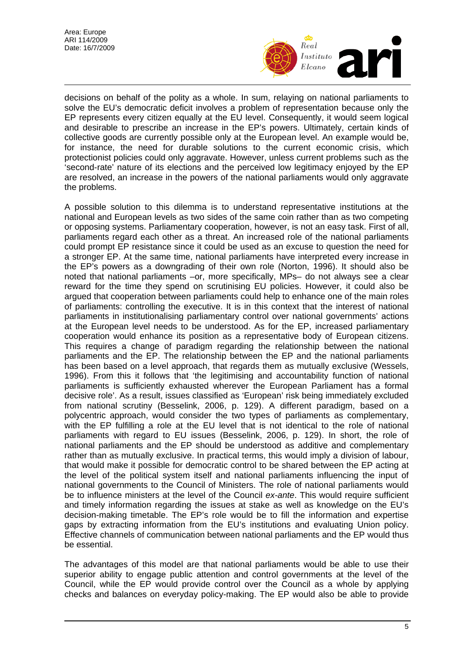

decisions on behalf of the polity as a whole. In sum, relaying on national parliaments to solve the EU's democratic deficit involves a problem of representation because only the EP represents every citizen equally at the EU level. Consequently, it would seem logical and desirable to prescribe an increase in the EP's powers. Ultimately, certain kinds of collective goods are currently possible only at the European level. An example would be, for instance, the need for durable solutions to the current economic crisis, which protectionist policies could only aggravate. However, unless current problems such as the 'second-rate' nature of its elections and the perceived low legitimacy enjoyed by the EP are resolved, an increase in the powers of the national parliaments would only aggravate the problems.

A possible solution to this dilemma is to understand representative institutions at the national and European levels as two sides of the same coin rather than as two competing or opposing systems. Parliamentary cooperation, however, is not an easy task. First of all, parliaments regard each other as a threat. An increased role of the national parliaments could prompt EP resistance since it could be used as an excuse to question the need for a stronger EP. At the same time, national parliaments have interpreted every increase in the EP's powers as a downgrading of their own role (Norton, 1996). It should also be noted that national parliaments –or, more specifically, MPs– do not always see a clear reward for the time they spend on scrutinising EU policies. However, it could also be argued that cooperation between parliaments could help to enhance one of the main roles of parliaments: controlling the executive. It is in this context that the interest of national parliaments in institutionalising parliamentary control over national governments' actions at the European level needs to be understood. As for the EP, increased parliamentary cooperation would enhance its position as a representative body of European citizens. This requires a change of paradigm regarding the relationship between the national parliaments and the EP. The relationship between the EP and the national parliaments has been based on a level approach, that regards them as mutually exclusive (Wessels, 1996). From this it follows that 'the legitimising and accountability function of national parliaments is sufficiently exhausted wherever the European Parliament has a formal decisive role'. As a result, issues classified as 'European' risk being immediately excluded from national scrutiny (Besselink, 2006, p. 129). A different paradigm, based on a polycentric approach, would consider the two types of parliaments as complementary, with the EP fulfilling a role at the EU level that is not identical to the role of national parliaments with regard to EU issues (Besselink, 2006, p. 129). In short, the role of national parliaments and the EP should be understood as additive and complementary rather than as mutually exclusive. In practical terms, this would imply a division of labour, that would make it possible for democratic control to be shared between the EP acting at the level of the political system itself and national parliaments influencing the input of national governments to the Council of Ministers. The role of national parliaments would be to influence ministers at the level of the Council *ex-ante*. This would require sufficient and timely information regarding the issues at stake as well as knowledge on the EU's decision-making timetable. The EP's role would be to fill the information and expertise gaps by extracting information from the EU's institutions and evaluating Union policy. Effective channels of communication between national parliaments and the EP would thus be essential.

The advantages of this model are that national parliaments would be able to use their superior ability to engage public attention and control governments at the level of the Council, while the EP would provide control over the Council as a whole by applying checks and balances on everyday policy-making. The EP would also be able to provide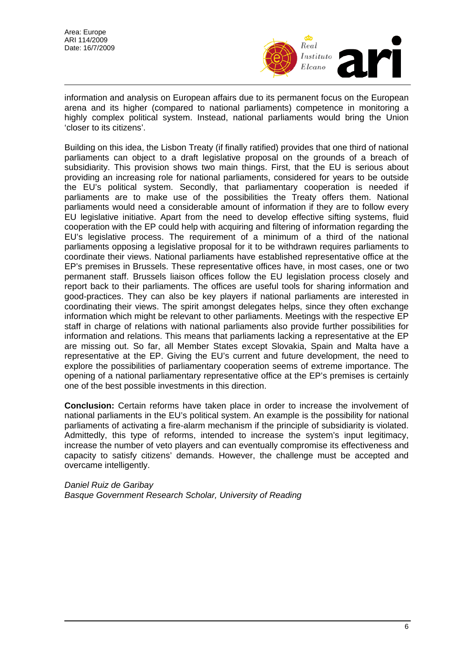

information and analysis on European affairs due to its permanent focus on the European arena and its higher (compared to national parliaments) competence in monitoring a highly complex political system. Instead, national parliaments would bring the Union 'closer to its citizens'.

Building on this idea, the Lisbon Treaty (if finally ratified) provides that one third of national parliaments can object to a draft legislative proposal on the grounds of a breach of subsidiarity. This provision shows two main things. First, that the EU is serious about providing an increasing role for national parliaments, considered for years to be outside the EU's political system. Secondly, that parliamentary cooperation is needed if parliaments are to make use of the possibilities the Treaty offers them. National parliaments would need a considerable amount of information if they are to follow every EU legislative initiative. Apart from the need to develop effective sifting systems, fluid cooperation with the EP could help with acquiring and filtering of information regarding the EU's legislative process. The requirement of a minimum of a third of the national parliaments opposing a legislative proposal for it to be withdrawn requires parliaments to coordinate their views. National parliaments have established representative office at the EP's premises in Brussels. These representative offices have, in most cases, one or two permanent staff. Brussels liaison offices follow the EU legislation process closely and report back to their parliaments. The offices are useful tools for sharing information and good-practices. They can also be key players if national parliaments are interested in coordinating their views. The spirit amongst delegates helps, since they often exchange information which might be relevant to other parliaments. Meetings with the respective EP staff in charge of relations with national parliaments also provide further possibilities for information and relations. This means that parliaments lacking a representative at the EP are missing out. So far, all Member States except Slovakia, Spain and Malta have a representative at the EP. Giving the EU's current and future development, the need to explore the possibilities of parliamentary cooperation seems of extreme importance. The opening of a national parliamentary representative office at the EP's premises is certainly one of the best possible investments in this direction.

**Conclusion:** Certain reforms have taken place in order to increase the involvement of national parliaments in the EU's political system. An example is the possibility for national parliaments of activating a fire-alarm mechanism if the principle of subsidiarity is violated. Admittedly, this type of reforms, intended to increase the system's input legitimacy, increase the number of veto players and can eventually compromise its effectiveness and capacity to satisfy citizens' demands. However, the challenge must be accepted and overcame intelligently.

*[Daniel Ruiz de Garibay](#page-0-0)  Basque Government Research Scholar, University of Reading*